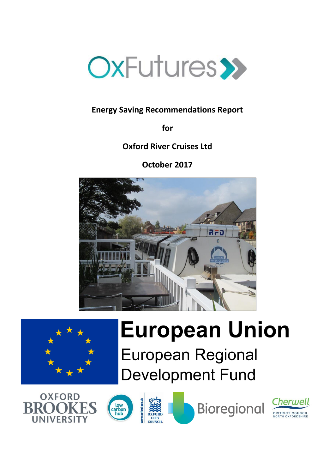

# **Energy Saving Recommendations Report**

**for**

**Oxford River Cruises Ltd**

**October 2017**





# **European Union**

**European Regional Development Fund** 









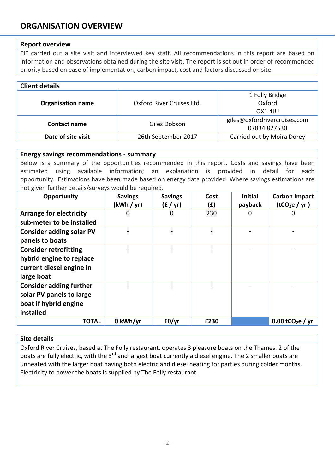# **ORGANISATION OVERVIEW**

## **Report overview**

EiE carried out a site visit and interviewed key staff. All recommendations in this report are based on information and observations obtained during the site visit. The report is set out in order of recommended priority based on ease of implementation, carbon impact, cost and factors discussed on site.

| <b>Client details</b>    |                           |                                              |  |
|--------------------------|---------------------------|----------------------------------------------|--|
| <b>Organisation name</b> | Oxford River Cruises Ltd. | 1 Folly Bridge<br>Oxford<br>OX1 4JU          |  |
| Contact name             | Giles Dobson              | giles@oxfordrivercruises.com<br>07834 827530 |  |
| Date of site visit       | 26th September 2017       | Carried out by Moira Dorey                   |  |

#### **Energy savings recommendations - summary**

Below is a summary of the opportunities recommended in this report. Costs and savings have been estimated using available information; an explanation is provided in detail for each opportunity. Estimations have been made based on energy data provided. Where savings estimations are not given further details/surveys would be required.

| Opportunity                                                                                        | <b>Savings</b><br>(kWh / yr) | <b>Savings</b><br>(f / yr) | Cost<br>(£) | <b>Initial</b><br>payback | <b>Carbon Impact</b><br>(tCO <sub>2</sub> e / yr) |
|----------------------------------------------------------------------------------------------------|------------------------------|----------------------------|-------------|---------------------------|---------------------------------------------------|
| <b>Arrange for electricity</b><br>sub-meter to be installed                                        |                              | 0                          | 230         | 0                         | $\Omega$                                          |
| <b>Consider adding solar PV</b><br>panels to boats                                                 |                              |                            |             |                           |                                                   |
| <b>Consider retrofitting</b><br>hybrid engine to replace<br>current diesel engine in<br>large boat |                              |                            |             |                           |                                                   |
| <b>Consider adding further</b><br>solar PV panels to large<br>boat if hybrid engine<br>installed   |                              |                            |             |                           |                                                   |
| <b>TOTAL</b>                                                                                       | 0 kWh/yr                     | E0/yr                      | £230        |                           | 0.00 tCO <sub>2</sub> e / yr                      |

## **Site details**

Oxford River Cruises, based at The Folly restaurant, operates 3 pleasure boats on the Thames. 2 of the boats are fully electric, with the 3<sup>rd</sup> and largest boat currently a diesel engine. The 2 smaller boats are unheated with the larger boat having both electric and diesel heating for parties during colder months. Electricity to power the boats is supplied by The Folly restaurant.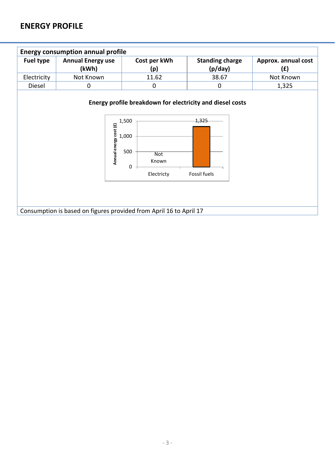# **ENERGY PROFILE**

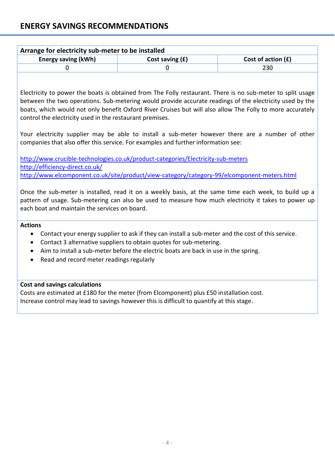| Arrange for electricity sub-meter to be installed |                   |                      |  |
|---------------------------------------------------|-------------------|----------------------|--|
| <b>Energy saving (kWh)</b>                        | Cost saving $(f)$ | Cost of action $(f)$ |  |
|                                                   |                   | 230                  |  |
|                                                   |                   |                      |  |

Electricity to power the boats is obtained from The Folly restaurant. There is no sub-meter to split usage between the two operations. Sub-metering would provide accurate readings of the electricity used by the boats, which would not only benefit Oxford River Cruises but will also allow The Folly to more accurately control the electricity used in the restaurant premises.

Your electricity supplier may be able to install a sub-meter however there are a number of other companies that also offer this service. For examples and further information see:

<http://www.crucible-technologies.co.uk/product-categories/Electricity-sub-meters> <http://efficiency-direct.co.uk/> <http://www.elcomponent.co.uk/site/product/view-category/category-99/elcomponent-meters.html>

Once the sub-meter is installed, read it on a weekly basis, at the same time each week, to build up a pattern of usage. Sub-metering can also be used to measure how much electricity it takes to power up each boat and maintain the services on board.

## **Actions**

- Contact your energy supplier to ask if they can install a sub-meter and the cost of this service.
- Contact 3 alternative suppliers to obtain quotes for sub-metering.
- Aim to install a sub-meter before the electric boats are back in use in the spring.
- Read and record meter readings regularly

## **Cost and savings calculations**

Costs are estimated at £180 for the meter (from Elcomponent) plus £50 installation cost. Increase control may lead to savings however this is difficult to quantify at this stage.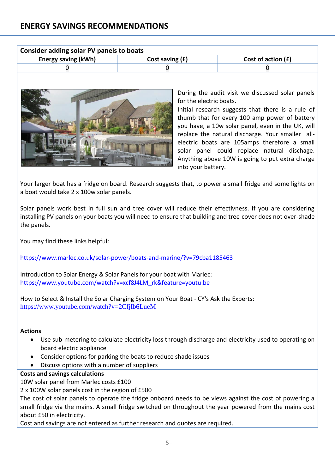| Consider adding solar PV panels to boats |                   |                      |  |
|------------------------------------------|-------------------|----------------------|--|
| <b>Energy saving (kWh)</b>               | Cost saving $(f)$ | Cost of action $(f)$ |  |
|                                          |                   |                      |  |



During the audit visit we discussed solar panels for the electric boats.

Initial research suggests that there is a rule of thumb that for every 100 amp power of battery you have, a 10w solar panel, even in the UK, will replace the natural discharge. Your smaller allelectric boats are 105amps therefore a small solar panel could replace natural dischage. Anything above 10W is going to put extra charge into your battery.

Your larger boat has a fridge on board. Research suggests that, to power a small fridge and some lights on a boat would take 2 x 100w solar panels.

Solar panels work best in full sun and tree cover will reduce their effectivness. If you are considering installing PV panels on your boats you will need to ensure that building and tree cover does not over-shade the panels.

You may find these links helpful:

<https://www.marlec.co.uk/solar-power/boats-and-marine/?v=79cba1185463>

Introduction to Solar Energy & Solar Panels for your boat with Marlec: [https://www.youtube.com/watch?v=xcf8J4LM\\_rk&feature=youtu.be](https://www.youtube.com/watch?v=xcf8J4LM_rk&feature=youtu.be)

How to Select & Install the Solar Charging System on Your Boat - CY's Ask the Experts: <https://www.youtube.com/watch?v=2CfjIb6LueM>

#### **Actions**

- Use sub-metering to calculate electricity loss through discharge and electricity used to operating on board electric appliance
- Consider options for parking the boats to reduce shade issues
- Discuss options with a number of suppliers

#### **Costs and savings calculations**

10W solar panel from Marlec costs £100

2 x 100W solar panels cost in the region of £500

The cost of solar panels to operate the fridge onboard needs to be views against the cost of powering a small fridge via the mains. A small fridge switched on throughout the year powered from the mains cost about £50 in electricity.

Cost and savings are not entered as further research and quotes are required.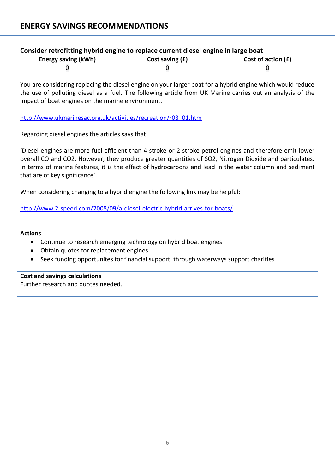| <b>Energy saving (kWh)</b>                                                                                                                                                                                                                                                                                                                                       | Cost saving (£) | Cost of action (£) |
|------------------------------------------------------------------------------------------------------------------------------------------------------------------------------------------------------------------------------------------------------------------------------------------------------------------------------------------------------------------|-----------------|--------------------|
| 0                                                                                                                                                                                                                                                                                                                                                                | $\mathbf 0$     | 0                  |
| You are considering replacing the diesel engine on your larger boat for a hybrid engine which would reduce<br>the use of polluting diesel as a fuel. The following article from UK Marine carries out an analysis of the<br>impact of boat engines on the marine environment.                                                                                    |                 |                    |
| http://www.ukmarinesac.org.uk/activities/recreation/r03_01.htm                                                                                                                                                                                                                                                                                                   |                 |                    |
| Regarding diesel engines the articles says that:                                                                                                                                                                                                                                                                                                                 |                 |                    |
| Diesel engines are more fuel efficient than 4 stroke or 2 stroke petrol engines and therefore emit lower<br>overall CO and CO2. However, they produce greater quantities of SO2, Nitrogen Dioxide and particulates.<br>In terms of marine features, it is the effect of hydrocarbons and lead in the water column and sediment<br>that are of key significance'. |                 |                    |
| When considering changing to a hybrid engine the following link may be helpful:                                                                                                                                                                                                                                                                                  |                 |                    |
| http://www.2-speed.com/2008/09/a-diesel-electric-hybrid-arrives-for-boats/                                                                                                                                                                                                                                                                                       |                 |                    |
| <b>Actions</b>                                                                                                                                                                                                                                                                                                                                                   |                 |                    |
| Continue to research emerging technology on hybrid boat engines<br>$\bullet$                                                                                                                                                                                                                                                                                     |                 |                    |
| Obtain quotes for replacement engines                                                                                                                                                                                                                                                                                                                            |                 |                    |
| Seek funding opportunites for financial support through waterways support charities<br>$\bullet$                                                                                                                                                                                                                                                                 |                 |                    |
| <b>Cost and savings calculations</b>                                                                                                                                                                                                                                                                                                                             |                 |                    |
| Further research and quotes needed.                                                                                                                                                                                                                                                                                                                              |                 |                    |
|                                                                                                                                                                                                                                                                                                                                                                  |                 |                    |
|                                                                                                                                                                                                                                                                                                                                                                  |                 |                    |
|                                                                                                                                                                                                                                                                                                                                                                  |                 |                    |
|                                                                                                                                                                                                                                                                                                                                                                  |                 |                    |
|                                                                                                                                                                                                                                                                                                                                                                  |                 |                    |
|                                                                                                                                                                                                                                                                                                                                                                  |                 |                    |
|                                                                                                                                                                                                                                                                                                                                                                  |                 |                    |
|                                                                                                                                                                                                                                                                                                                                                                  |                 |                    |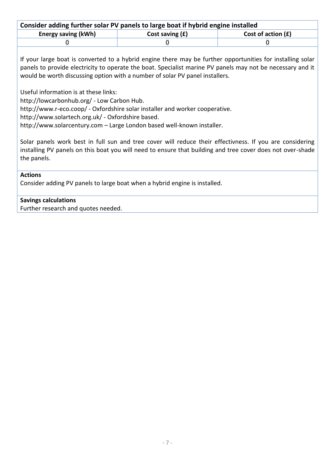| Consider adding further solar PV panels to large boat if hybrid engine installed |                 |                      |  |
|----------------------------------------------------------------------------------|-----------------|----------------------|--|
| <b>Energy saving (kWh)</b>                                                       | Cost saving (£) | Cost of action $(f)$ |  |
|                                                                                  |                 |                      |  |

If your large boat is converted to a hybrid engine there may be further opportunities for installing solar panels to provide electricity to operate the boat. Specialist marine PV panels may not be necessary and it would be worth discussing option with a number of solar PV panel installers.

Useful information is at these links:

http://lowcarbonhub.org/ - Low Carbon Hub.

http://www.r-eco.coop/ - Oxfordshire solar installer and worker cooperative.

http://www.solartech.org.uk/ - Oxfordshire based.

http://www.solarcentury.com – Large London based well-known installer.

Solar panels work best in full sun and tree cover will reduce their effectivness. If you are considering installing PV panels on this boat you will need to ensure that building and tree cover does not over-shade the panels.

## **Actions**

Consider adding PV panels to large boat when a hybrid engine is installed.

## **Savings calculations**

Further research and quotes needed.